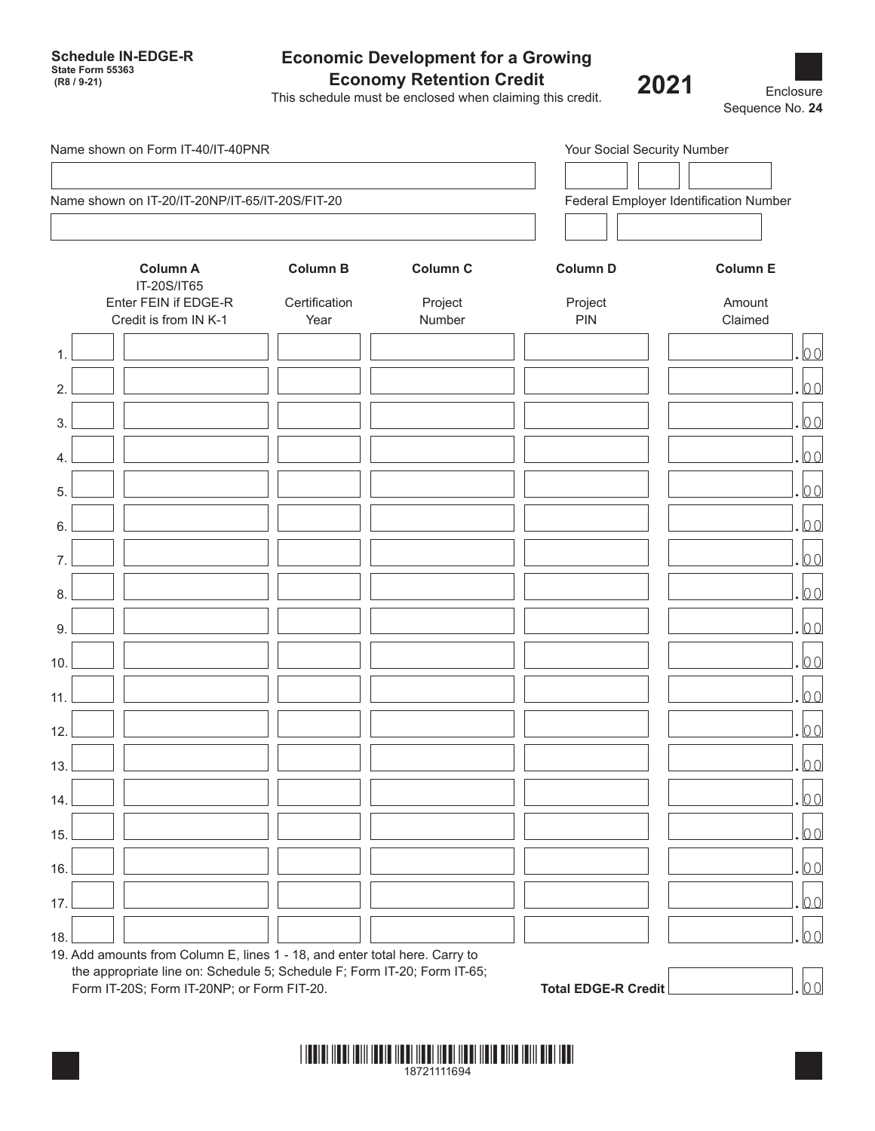**Schedule IN-EDGE-R State Form 55363**

## **Economic Development for a Growing Economy Retention Credit**

This schedule must be enclosed when claiming this credit.  **(R8 / 9-21) 2021**

Enclosure Sequence No. **24**

| Name shown on Form IT-40/IT-40PNR<br>Name shown on IT-20/IT-20NP/IT-65/IT-20S/FIT-20 |                                               |                                                                             |                                        |                 | Your Social Security Number |  |
|--------------------------------------------------------------------------------------|-----------------------------------------------|-----------------------------------------------------------------------------|----------------------------------------|-----------------|-----------------------------|--|
|                                                                                      |                                               |                                                                             |                                        |                 |                             |  |
|                                                                                      |                                               |                                                                             | Federal Employer Identification Number |                 |                             |  |
|                                                                                      | <b>Column A</b><br>IT-20S/IT65                | <b>Column B</b>                                                             | Column C                               | <b>Column D</b> | <b>Column E</b>             |  |
|                                                                                      | Enter FEIN if EDGE-R<br>Credit is from IN K-1 | Certification<br>Year                                                       | Project<br>Number                      | Project<br>PIN  | Amount<br>Claimed           |  |
|                                                                                      |                                               |                                                                             |                                        |                 | 0 <sub>0</sub>              |  |
| 2.                                                                                   |                                               |                                                                             |                                        |                 | 00                          |  |
| 3.                                                                                   |                                               |                                                                             |                                        |                 | 00                          |  |
| 4                                                                                    |                                               |                                                                             |                                        |                 | 00                          |  |
| 5.                                                                                   |                                               |                                                                             |                                        |                 | 00                          |  |
| 6.                                                                                   |                                               |                                                                             |                                        |                 | 00                          |  |
|                                                                                      |                                               |                                                                             |                                        |                 | 0 <sub>0</sub>              |  |
| 8.                                                                                   |                                               |                                                                             |                                        |                 | 0 <sub>0</sub>              |  |
| 9.                                                                                   |                                               |                                                                             |                                        |                 | 0 <sub>0</sub>              |  |
| 10.                                                                                  |                                               |                                                                             |                                        |                 | 0 <sub>0</sub>              |  |
| 11.                                                                                  |                                               |                                                                             |                                        |                 | 0 <sub>0</sub>              |  |
| 12.                                                                                  |                                               |                                                                             |                                        |                 | 0 <sub>0</sub>              |  |
| 13.                                                                                  |                                               |                                                                             |                                        |                 | 0 <sub>0</sub>              |  |
|                                                                                      |                                               |                                                                             |                                        |                 | 00                          |  |
| 14.                                                                                  |                                               |                                                                             |                                        |                 | 00                          |  |
| 15.                                                                                  |                                               |                                                                             |                                        |                 | 00                          |  |
| 16.                                                                                  |                                               |                                                                             |                                        |                 |                             |  |
| 17.                                                                                  |                                               |                                                                             |                                        |                 | 00                          |  |
| 18.                                                                                  |                                               | 19. Add amounts from Column E, lines 1 - 18, and enter total here. Carry to |                                        |                 | $\overline{00}$             |  |

the appropriate line on: Schedule 5; Schedule F; Form IT-20; Form IT-65; The appropriate line on: Schedule 5; Schedule F; Form IT-20; Form IT-65;<br>Form IT-20S; Form IT-20NP; or Form FIT-20.

| <b>Total EDGE-R Cred</b> |  |
|--------------------------|--|
|                          |  |

\*18721111694\* 18721111694